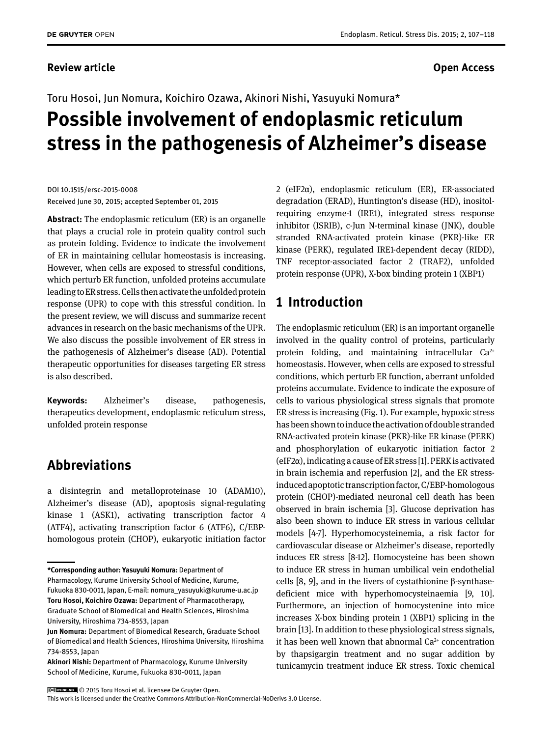#### **Review article Contracts Contracts and Services Contracts Contracts Contracts Contracts Contracts Contracts Contracts Contracts Contracts Contracts Contracts Contracts Contracts Contracts Contracts Contracts Contracts Con**

# Toru Hosoi, Jun Nomura, Koichiro Ozawa, Akinori Nishi, Yasuyuki Nomura\* **Possible involvement of endoplasmic reticulum stress in the pathogenesis of Alzheimer's disease**

DOI 10.1515/ersc-2015-0008 Received June 30, 2015; accepted September 01, 2015

**Abstract:** The endoplasmic reticulum (ER) is an organelle that plays a crucial role in protein quality control such as protein folding. Evidence to indicate the involvement of ER in maintaining cellular homeostasis is increasing. However, when cells are exposed to stressful conditions, which perturb ER function, unfolded proteins accumulate leading to ER stress. Cells then activate the unfolded protein response (UPR) to cope with this stressful condition. In the present review, we will discuss and summarize recent advances in research on the basic mechanisms of the UPR. We also discuss the possible involvement of ER stress in the pathogenesis of Alzheimer's disease (AD). Potential therapeutic opportunities for diseases targeting ER stress is also described.

**Keywords:** Alzheimer's disease, pathogenesis, therapeutics development, endoplasmic reticulum stress, unfolded protein response

### **Abbreviations**

a disintegrin and metalloproteinase 10 (ADAM10), Alzheimer's disease (AD), apoptosis signal-regulating kinase 1 (ASK1), activating transcription factor 4 (ATF4), activating transcription factor 6 (ATF6), C/EBPhomologous protein (CHOP), eukaryotic initiation factor

**\*Corresponding author: Yasuyuki Nomura:** Department of

Pharmacology, Kurume University School of Medicine, Kurume, Fukuoka 830-0011, Japan, E-mail: nomura\_yasuyuki@kurume-u.ac.jp **Toru Hosoi, Koichiro Ozawa:** Department of Pharmacotherapy, Graduate School of Biomedical and Health Sciences, Hiroshima University, Hiroshima 734-8553, Japan

2 (eIF2α), endoplasmic reticulum (ER), ER-associated degradation (ERAD), Huntington's disease (HD), inositolrequiring enzyme-1 (IRE1), integrated stress response inhibitor (ISRIB), c-Jun N-terminal kinase (JNK), double stranded RNA-activated protein kinase (PKR)-like ER kinase (PERK), regulated IRE1-dependent decay (RIDD), TNF receptor-associated factor 2 (TRAF2), unfolded protein response (UPR), X-box binding protein 1 (XBP1)

# **1 Introduction**

The endoplasmic reticulum (ER) is an important organelle involved in the quality control of proteins, particularly protein folding, and maintaining intracellular  $Ca^{2+}$ homeostasis. However, when cells are exposed to stressful conditions, which perturb ER function, aberrant unfolded proteins accumulate. Evidence to indicate the exposure of cells to various physiological stress signals that promote ER stress is increasing (Fig. 1). For example, hypoxic stress has been shown to induce the activation of double stranded RNA-activated protein kinase (PKR)-like ER kinase (PERK) and phosphorylation of eukaryotic initiation factor 2  $(eIF2\alpha)$ , indicating a cause of ER stress [1]. PERK is activated in brain ischemia and reperfusion [2], and the ER stressinduced apoptotic transcription factor, C/EBP-homologous protein (CHOP)-mediated neuronal cell death has been observed in brain ischemia [3]. Glucose deprivation has also been shown to induce ER stress in various cellular models [4-7]. Hyperhomocysteinemia, a risk factor for cardiovascular disease or Alzheimer's disease, reportedly induces ER stress [8-12]. Homocysteine has been shown to induce ER stress in human umbilical vein endothelial cells [8, 9], and in the livers of cystathionine β-synthasedeficient mice with hyperhomocysteinaemia [9, 10]. Furthermore, an injection of homocystenine into mice increases X-box binding protein 1 (XBP1) splicing in the brain [13]. In addition to these physiological stress signals, it has been well known that abnormal  $Ca<sup>2+</sup>$  concentration by thapsigargin treatment and no sugar addition by tunicamycin treatment induce ER stress. Toxic chemical

© 2015 Toru Hosoi et al. licensee De Gruyter Open.

This work is licensed under the Creative Commons Attribution-NonCommercial-NoDerivs 3.0 License.

**Jun Nomura:** Department of Biomedical Research, Graduate School of Biomedical and Health Sciences, Hiroshima University, Hiroshima 734-8553, Japan

**Akinori Nishi:** Department of Pharmacology, Kurume University School of Medicine, Kurume, Fukuoka 830-0011, Japan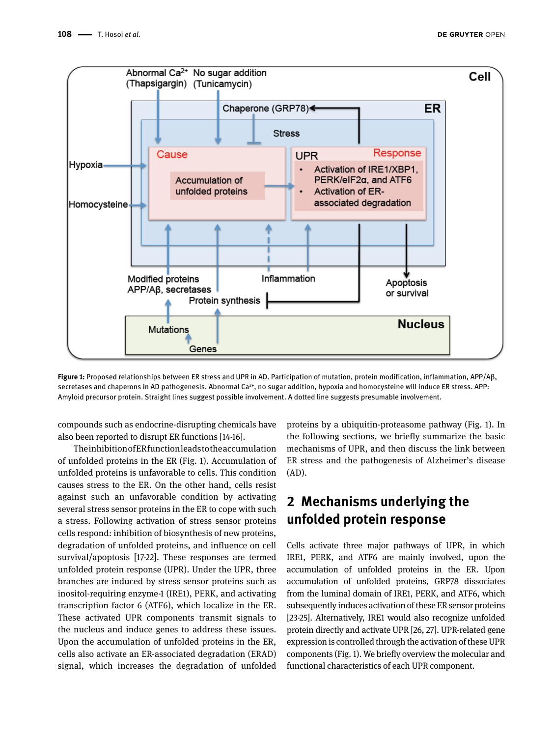

**Figure 1:** Proposed relationships between ER stress and UPR in AD. Participation of mutation, protein modification, inflammation, APP/Aβ, secretases and chaperons in AD pathogenesis. Abnormal Ca<sup>2+</sup>, no sugar addition, hypoxia and homocysteine will induce ER stress. APP: Amyloid precursor protein. Straight lines suggest possible involvement. A dotted line suggests presumable involvement.

compounds such as endocrine-disrupting chemicals have also been reported to disrupt ER functions [14-16].

The inhibition of ER function leads to the accumulation of unfolded proteins in the ER (Fig. 1). Accumulation of unfolded proteins is unfavorable to cells. This condition causes stress to the ER. On the other hand, cells resist against such an unfavorable condition by activating several stress sensor proteins in the ER to cope with such a stress. Following activation of stress sensor proteins cells respond: inhibition of biosynthesis of new proteins, degradation of unfolded proteins, and influence on cell survival/apoptosis [17-22]. These responses are termed unfolded protein response (UPR). Under the UPR, three branches are induced by stress sensor proteins such as inositol-requiring enzyme-1 (IRE1), PERK, and activating transcription factor 6 (ATF6), which localize in the ER. These activated UPR components transmit signals to the nucleus and induce genes to address these issues. Upon the accumulation of unfolded proteins in the ER, cells also activate an ER-associated degradation (ERAD) signal, which increases the degradation of unfolded

proteins by a ubiquitin-proteasome pathway (Fig. 1). In the following sections, we briefly summarize the basic mechanisms of UPR, and then discuss the link between ER stress and the pathogenesis of Alzheimer's disease (AD).

# **2 Mechanisms underlying the unfolded protein response**

Cells activate three major pathways of UPR, in which IRE1, PERK, and ATF6 are mainly involved, upon the accumulation of unfolded proteins in the ER. Upon accumulation of unfolded proteins, GRP78 dissociates from the luminal domain of IRE1, PERK, and ATF6, which subsequently induces activation of these ER sensor proteins [23-25]. Alternatively, IRE1 would also recognize unfolded protein directly and activate UPR [26, 27]. UPR-related gene expression is controlled through the activation of these UPR components (Fig. 1). We briefly overview the molecular and functional characteristics of each UPR component.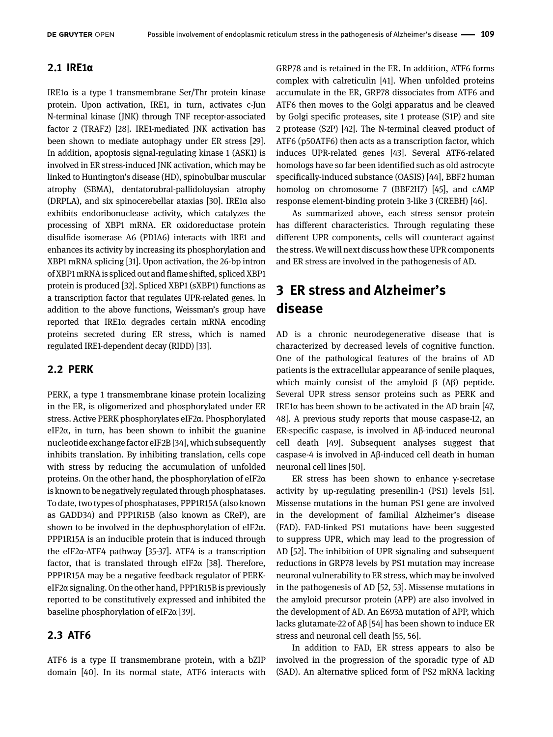#### **2.1 IRE1α**

IRE1α is a type 1 transmembrane Ser/Thr protein kinase protein. Upon activation, IRE1, in turn, activates c-Jun N-terminal kinase (JNK) through TNF receptor-associated factor 2 (TRAF2) [28]. IRE1-mediated JNK activation has been shown to mediate autophagy under ER stress [29]. In addition, apoptosis signal-regulating kinase 1 (ASK1) is involved in ER stress-induced JNK activation, which may be linked to Huntington's disease (HD), spinobulbar muscular atrophy (SBMA), dentatorubral-pallidoluysian atrophy (DRPLA), and six spinocerebellar ataxias [30]. IRE1α also exhibits endoribonuclease activity, which catalyzes the processing of XBP1 mRNA. ER oxidoreductase protein disulfide isomerase A6 (PDIA6) interacts with IRE1 and enhances its activity by increasing its phosphorylation and XBP1 mRNA splicing [31]. Upon activation, the 26-bp intron of XBP1 mRNA is spliced out and flame shifted, spliced XBP1 protein is produced [32]. Spliced XBP1 (sXBP1) functions as a transcription factor that regulates UPR-related genes. In addition to the above functions, Weissman's group have reported that IRE1α degrades certain mRNA encoding proteins secreted during ER stress, which is named regulated IRE1-dependent decay (RIDD) [33].

#### **2.2 PERK**

PERK, a type 1 transmembrane kinase protein localizing in the ER, is oligomerized and phosphorylated under ER stress. Active PERK phosphorylates eIF2α. Phosphorylated eIF2α, in turn, has been shown to inhibit the guanine nucleotide exchange factor eIF2B [34], which subsequently inhibits translation. By inhibiting translation, cells cope with stress by reducing the accumulation of unfolded proteins. On the other hand, the phosphorylation of eIF2α is known to be negatively regulated through phosphatases. To date, two types of phosphatases, PPP1R15A (also known as GADD34) and PPP1R15B (also known as CReP), are shown to be involved in the dephosphorylation of eIF2α. PPP1R15A is an inducible protein that is induced through the eIF2α-ATF4 pathway [35-37]. ATF4 is a transcription factor, that is translated through eIF2α [38]. Therefore, PPP1R15A may be a negative feedback regulator of PERKeIF2α signaling. On the other hand, PPP1R15B is previously reported to be constitutively expressed and inhibited the baseline phosphorylation of eIF2α [39].

#### **2.3 ATF6**

ATF6 is a type II transmembrane protein, with a bZIP domain [40]. In its normal state, ATF6 interacts with

GRP78 and is retained in the ER. In addition, ATF6 forms complex with calreticulin [41]. When unfolded proteins accumulate in the ER, GRP78 dissociates from ATF6 and ATF6 then moves to the Golgi apparatus and be cleaved by Golgi specific proteases, site 1 protease (S1P) and site 2 protease (S2P) [42]. The N-terminal cleaved product of ATF6 (p50ATF6) then acts as a transcription factor, which induces UPR-related genes [43]. Several ATF6-related homologs have so far been identified such as old astrocyte specifically-induced substance (OASIS) [44], BBF2 human homolog on chromosome 7 (BBF2H7) [45], and cAMP response element-binding protein 3-like 3 (CREBH) [46].

As summarized above, each stress sensor protein has different characteristics. Through regulating these different UPR components, cells will counteract against the stress. We will next discuss how these UPR components and ER stress are involved in the pathogenesis of AD.

# **3 ER stress and Alzheimer's disease**

AD is a chronic neurodegenerative disease that is characterized by decreased levels of cognitive function. One of the pathological features of the brains of AD patients is the extracellular appearance of senile plaques, which mainly consist of the amyloid  $\beta$  (A $\beta$ ) peptide. Several UPR stress sensor proteins such as PERK and IRE1α has been shown to be activated in the AD brain [47, 48]. A previous study reports that mouse caspase-12, an ER-specific caspase, is involved in Aβ-induced neuronal cell death [49]. Subsequent analyses suggest that caspase-4 is involved in Aβ-induced cell death in human neuronal cell lines [50].

ER stress has been shown to enhance γ-secretase activity by up-regulating presenilin-1 (PS1) levels [51]. Missense mutations in the human PS1 gene are involved in the development of familial Alzheimer's disease (FAD). FAD-linked PS1 mutations have been suggested to suppress UPR, which may lead to the progression of AD [52]. The inhibition of UPR signaling and subsequent reductions in GRP78 levels by PS1 mutation may increase neuronal vulnerability to ER stress, which may be involved in the pathogenesis of AD [52, 53]. Missense mutations in the amyloid precursor protein (APP) are also involved in the development of AD. An E693Δ mutation of APP, which lacks glutamate-22 of Aβ [54] has been shown to induce ER stress and neuronal cell death [55, 56].

In addition to FAD, ER stress appears to also be involved in the progression of the sporadic type of AD (SAD). An alternative spliced form of PS2 mRNA lacking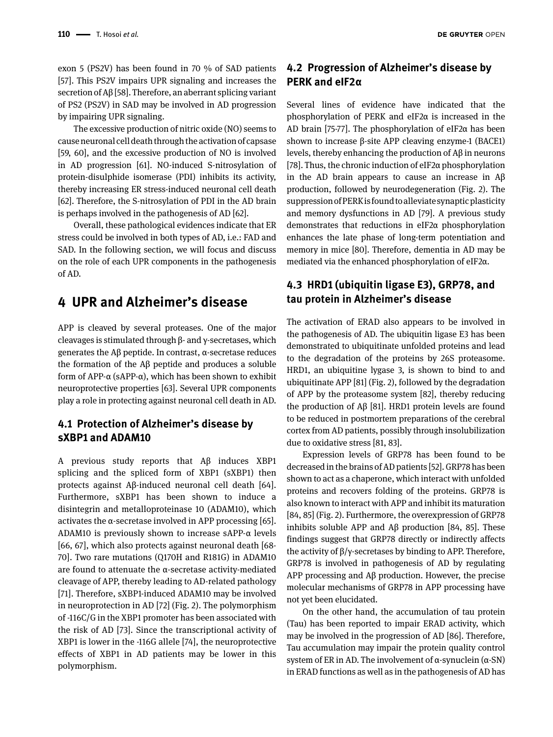exon 5 (PS2V) has been found in 70 % of SAD patients [57]. This PS2V impairs UPR signaling and increases the secretion of Aβ [58]. Therefore, an aberrant splicing variant of PS2 (PS2V) in SAD may be involved in AD progression by impairing UPR signaling.

The excessive production of nitric oxide (NO) seems to cause neuronal cell death through the activation of capsase [59, 60], and the excessive production of NO is involved in AD progression [61]. NO-induced S-nitrosylation of protein-disulphide isomerase (PDI) inhibits its activity, thereby increasing ER stress-induced neuronal cell death [62]. Therefore, the S-nitrosylation of PDI in the AD brain is perhaps involved in the pathogenesis of AD [62].

Overall, these pathological evidences indicate that ER stress could be involved in both types of AD, i.e.: FAD and SAD. In the following section, we will focus and discuss on the role of each UPR components in the pathogenesis of AD.

## **4 UPR and Alzheimer's disease**

APP is cleaved by several proteases. One of the major cleavages is stimulated through β- and γ-secretases, which generates the Aβ peptide. In contrast, α-secretase reduces the formation of the Aβ peptide and produces a soluble form of APP-α (sAPP-α), which has been shown to exhibit neuroprotective properties [63]. Several UPR components play a role in protecting against neuronal cell death in AD.

#### **4.1 Protection of Alzheimer's disease by sXBP1 and ADAM10**

A previous study reports that Aβ induces XBP1 splicing and the spliced form of XBP1 (sXBP1) then protects against Aβ-induced neuronal cell death [64]. Furthermore, sXBP1 has been shown to induce a disintegrin and metalloproteinase 10 (ADAM10), which activates the  $\alpha$ -secretase involved in APP processing [65]. ADAM10 is previously shown to increase sAPP-α levels [66, 67], which also protects against neuronal death [68- 70]. Two rare mutations (Q170H and R181G) in ADAM10 are found to attenuate the α-secretase activity-mediated cleavage of APP, thereby leading to AD-related pathology [71]. Therefore, sXBP1-induced ADAM10 may be involved in neuroprotection in AD [72] (Fig. 2). The polymorphism of -116C/G in the XBP1 promoter has been associated with the risk of AD [73]. Since the transcriptional activity of XBP1 is lower in the -116G allele [74], the neuroprotective effects of XBP1 in AD patients may be lower in this polymorphism.

#### **4.2 Progression of Alzheimer's disease by PERK and eIF2α**

Several lines of evidence have indicated that the phosphorylation of PERK and eIF2α is increased in the AD brain [75-77]. The phosphorylation of eIF2 $\alpha$  has been shown to increase β-site APP cleaving enzyme-1 (BACE1) levels, thereby enhancing the production of Aβ in neurons [78]. Thus, the chronic induction of eIF2α phosphorylation in the AD brain appears to cause an increase in Aβ production, followed by neurodegeneration (Fig. 2). The suppression of PERK is found to alleviate synaptic plasticity and memory dysfunctions in AD [79]. A previous study demonstrates that reductions in eIF2α phosphorylation enhances the late phase of long-term potentiation and memory in mice [80]. Therefore, dementia in AD may be mediated via the enhanced phosphorylation of eIF2α.

#### **4.3 HRD1 (ubiquitin ligase E3), GRP78, and tau protein in Alzheimer's disease**

The activation of ERAD also appears to be involved in the pathogenesis of AD. The ubiquitin ligase E3 has been demonstrated to ubiquitinate unfolded proteins and lead to the degradation of the proteins by 26S proteasome. HRD1, an ubiquitine lygase 3, is shown to bind to and ubiquitinate APP [81] (Fig. 2), followed by the degradation of APP by the proteasome system [82], thereby reducing the production of Aβ [81]. HRD1 protein levels are found to be reduced in postmortem preparations of the cerebral cortex from AD patients, possibly through insolubilization due to oxidative stress [81, 83].

Expression levels of GRP78 has been found to be decreased in the brains of AD patients [52]. GRP78 has been shown to act as a chaperone, which interact with unfolded proteins and recovers folding of the proteins. GRP78 is also known to interact with APP and inhibit its maturation [84, 85] (Fig. 2). Furthermore, the overexpression of GRP78 inhibits soluble APP and Aβ production [84, 85]. These findings suggest that GRP78 directly or indirectly affects the activity of β/γ-secretases by binding to APP. Therefore, GRP78 is involved in pathogenesis of AD by regulating APP processing and Aβ production. However, the precise molecular mechanisms of GRP78 in APP processing have not yet been elucidated.

On the other hand, the accumulation of tau protein (Tau) has been reported to impair ERAD activity, which may be involved in the progression of AD [86]. Therefore, Tau accumulation may impair the protein quality control system of ER in AD. The involvement of  $α$ -synuclein  $(α$ -SN) in ERAD functions as well as in the pathogenesis of AD has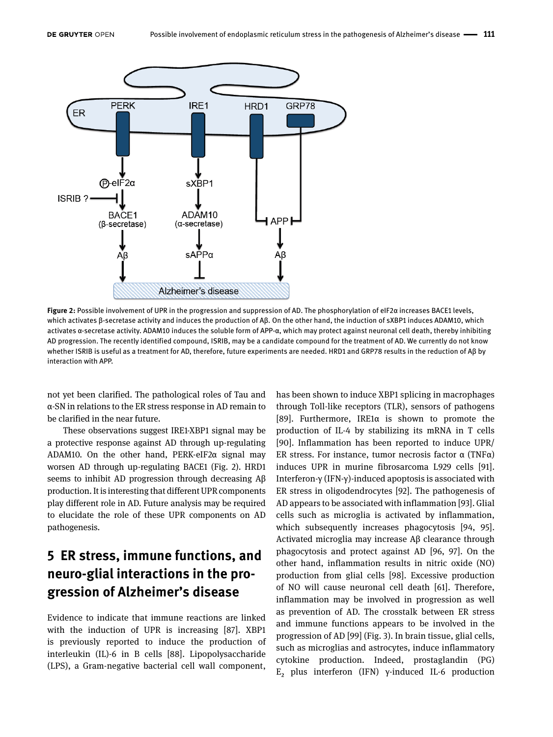

**Figure 2:** Possible involvement of UPR in the progression and suppression of AD. The phosphorylation of eIF2α increases BACE1 levels, which activates β-secretase activity and induces the production of Aβ. On the other hand, the induction of sXBP1 induces ADAM10, which activates α-secretase activity. ADAM10 induces the soluble form of APP-α, which may protect against neuronal cell death, thereby inhibiting AD progression. The recently identified compound, ISRIB, may be a candidate compound for the treatment of AD. We currently do not know whether ISRIB is useful as a treatment for AD, therefore, future experiments are needed. HRD1 and GRP78 results in the reduction of Aβ by interaction with APP.

not yet been clarified. The pathological roles of Tau and α-SN in relations to the ER stress response in AD remain to be clarified in the near future.

These observations suggest IRE1-XBP1 signal may be a protective response against AD through up-regulating ADAM10. On the other hand, PERK-eIF2α signal may worsen AD through up-regulating BACE1 (Fig. 2). HRD1 seems to inhibit AD progression through decreasing Aβ production. It is interesting that different UPR components play different role in AD. Future analysis may be required to elucidate the role of these UPR components on AD pathogenesis.

# **5 ER stress, immune functions, and neuro-glial interactions in the progression of Alzheimer's disease**

Evidence to indicate that immune reactions are linked with the induction of UPR is increasing [87]. XBP1 is previously reported to induce the production of interleukin (IL)-6 in B cells [88]. Lipopolysaccharide (LPS), a Gram-negative bacterial cell wall component, has been shown to induce XBP1 splicing in macrophages through Toll-like receptors (TLR), sensors of pathogens [89]. Furthermore, IRE1α is shown to promote the production of IL-4 by stabilizing its mRNA in T cells [90]. Inflammation has been reported to induce UPR/ ER stress. For instance, tumor necrosis factor  $\alpha$  (TNF $\alpha$ ) induces UPR in murine fibrosarcoma L929 cells [91]. Interferon-γ (IFN-γ)-induced apoptosis is associated with ER stress in oligodendrocytes [92]. The pathogenesis of AD appears to be associated with inflammation [93]. Glial cells such as microglia is activated by inflammation, which subsequently increases phagocytosis [94, 95]. Activated microglia may increase Aβ clearance through phagocytosis and protect against AD [96, 97]. On the other hand, inflammation results in nitric oxide (NO) production from glial cells [98]. Excessive production of NO will cause neuronal cell death [61]. Therefore, inflammation may be involved in progression as well as prevention of AD. The crosstalk between ER stress and immune functions appears to be involved in the progression of AD [99] (Fig. 3). In brain tissue, glial cells, such as microglias and astrocytes, induce inflammatory cytokine production. Indeed, prostaglandin (PG) E₂ plus interferon (IFN) γ-induced IL-6 production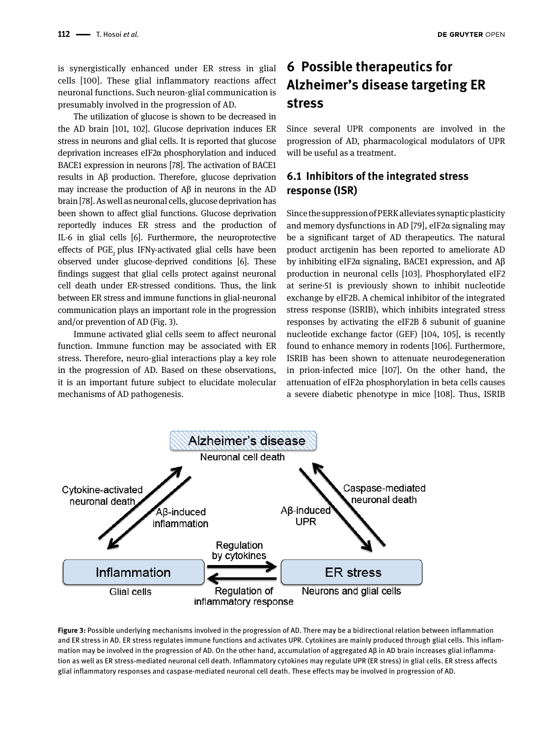is synergistically enhanced under ER stress in glial cells [100]. These glial inflammatory reactions affect neuronal functions. Such neuron-glial communication is presumably involved in the progression of AD.

The utilization of glucose is shown to be decreased in the AD brain [101, 102]. Glucose deprivation induces ER stress in neurons and glial cells. It is reported that glucose deprivation increases eIF2α phosphorylation and induced BACE1 expression in neurons [78]. The activation of BACE1 results in Aβ production. Therefore, glucose deprivation may increase the production of Aβ in neurons in the AD brain [78]. As well as neuronal cells, glucose deprivation has been shown to affect glial functions. Glucose deprivation reportedly induces ER stress and the production of IL-6 in glial cells [6]. Furthermore, the neuroprotective effects of PGE, plus IFNy-activated glial cells have been observed under glucose-deprived conditions [6]. These findings suggest that glial cells protect against neuronal cell death under ER-stressed conditions. Thus, the link between ER stress and immune functions in glial-neuronal communication plays an important role in the progression and/or prevention of AD (Fig. 3).

Immune activated glial cells seem to affect neuronal function. Immune function may be associated with ER stress. Therefore, neuro-glial interactions play a key role in the progression of AD. Based on these observations, it is an important future subject to elucidate molecular mechanisms of AD pathogenesis.

# **6 Possible therapeutics for Alzheimer's disease targeting ER stress**

Since several UPR components are involved in the progression of AD, pharmacological modulators of UPR will be useful as a treatment.

### **6.1 Inhibitors of the integrated stress response (ISR)**

Since the suppression of PERK alleviates synaptic plasticity and memory dysfunctions in AD [79], eIF2 $\alpha$  signaling may be a significant target of AD therapeutics. The natural product arctigenin has been reported to ameliorate AD by inhibiting eIF2α signaling, BACE1 expression, and Aβ production in neuronal cells [103]. Phosphorylated eIF2 at serine-51 is previously shown to inhibit nucleotide exchange by eIF2B. A chemical inhibitor of the integrated stress response (ISRIB), which inhibits integrated stress responses by activating the eIF2B  $\delta$  subunit of guanine nucleotide exchange factor (GEF) [104, 105], is recently found to enhance memory in rodents [106]. Furthermore, ISRIB has been shown to attenuate neurodegeneration in prion-infected mice [107]. On the other hand, the attenuation of eIF2α phosphorylation in beta cells causes a severe diabetic phenotype in mice [108]. Thus, ISRIB



**Figure 3:** Possible underlying mechanisms involved in the progression of AD. There may be a bidirectional relation between inflammation and ER stress in AD. ER stress regulates immune functions and activates UPR. Cytokines are mainly produced through glial cells. This inflammation may be involved in the progression of AD. On the other hand, accumulation of aggregated Aβ in AD brain increases glial inflammation as well as ER stress-mediated neuronal cell death. Inflammatory cytokines may regulate UPR (ER stress) in glial cells. ER stress affects glial inflammatory responses and caspase-mediated neuronal cell death. These effects may be involved in progression of AD.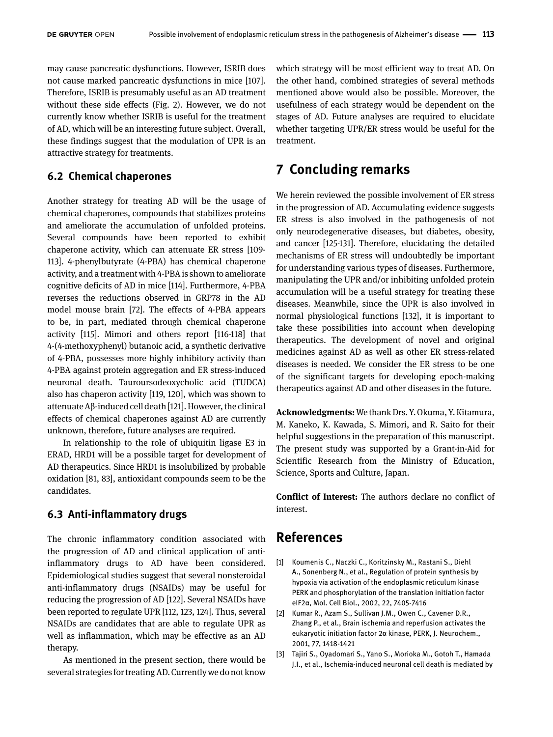may cause pancreatic dysfunctions. However, ISRIB does not cause marked pancreatic dysfunctions in mice [107]. Therefore, ISRIB is presumably useful as an AD treatment without these side effects (Fig. 2). However, we do not currently know whether ISRIB is useful for the treatment of AD, which will be an interesting future subject. Overall, these findings suggest that the modulation of UPR is an attractive strategy for treatments.

#### **6.2 Chemical chaperones**

Another strategy for treating AD will be the usage of chemical chaperones, compounds that stabilizes proteins and ameliorate the accumulation of unfolded proteins. Several compounds have been reported to exhibit chaperone activity, which can attenuate ER stress [109- 113]. 4-phenylbutyrate (4-PBA) has chemical chaperone activity, and a treatment with 4-PBA is shown to ameliorate cognitive deficits of AD in mice [114]. Furthermore, 4-PBA reverses the reductions observed in GRP78 in the AD model mouse brain [72]. The effects of 4-PBA appears to be, in part, mediated through chemical chaperone activity [115]. Mimori and others report [116-118] that 4-(4-methoxyphenyl) butanoic acid, a synthetic derivative of 4-PBA, possesses more highly inhibitory activity than 4-PBA against protein aggregation and ER stress-induced neuronal death. Tauroursodeoxycholic acid (TUDCA) also has chaperon activity [119, 120], which was shown to attenuate Aβ-induced cell death [121]. However, the clinical effects of chemical chaperones against AD are currently unknown, therefore, future analyses are required.

In relationship to the role of ubiquitin ligase E3 in ERAD, HRD1 will be a possible target for development of AD therapeutics. Since HRD1 is insolubilized by probable oxidation [81, 83], antioxidant compounds seem to be the candidates.

#### **6.3 Anti-inflammatory drugs**

The chronic inflammatory condition associated with the progression of AD and clinical application of antiinflammatory drugs to AD have been considered. Epidemiological studies suggest that several nonsteroidal anti-inflammatory drugs (NSAIDs) may be useful for reducing the progression of AD [122]. Several NSAIDs have been reported to regulate UPR [112, 123, 124]. Thus, several NSAIDs are candidates that are able to regulate UPR as well as inflammation, which may be effective as an AD therapy.

As mentioned in the present section, there would be several strategies for treating AD. Currently we do not know

which strategy will be most efficient way to treat AD. On the other hand, combined strategies of several methods mentioned above would also be possible. Moreover, the usefulness of each strategy would be dependent on the stages of AD. Future analyses are required to elucidate whether targeting UPR/ER stress would be useful for the treatment.

# **7 Concluding remarks**

We herein reviewed the possible involvement of ER stress in the progression of AD. Accumulating evidence suggests ER stress is also involved in the pathogenesis of not only neurodegenerative diseases, but diabetes, obesity, and cancer [125-131]. Therefore, elucidating the detailed mechanisms of ER stress will undoubtedly be important for understanding various types of diseases. Furthermore, manipulating the UPR and/or inhibiting unfolded protein accumulation will be a useful strategy for treating these diseases. Meanwhile, since the UPR is also involved in normal physiological functions [132], it is important to take these possibilities into account when developing therapeutics. The development of novel and original medicines against AD as well as other ER stress-related diseases is needed. We consider the ER stress to be one of the significant targets for developing epoch-making therapeutics against AD and other diseases in the future.

**Acknowledgments:** We thank Drs. Y. Okuma, Y. Kitamura, M. Kaneko, K. Kawada, S. Mimori, and R. Saito for their helpful suggestions in the preparation of this manuscript. The present study was supported by a Grant-in-Aid for Scientific Research from the Ministry of Education, Science, Sports and Culture, Japan.

**Conflict of Interest:** The authors declare no conflict of interest.

#### **References**

- [1] Koumenis C., Naczki C., Koritzinsky M., Rastani S., Diehl A., Sonenberg N., et al., Regulation of protein synthesis by hypoxia via activation of the endoplasmic reticulum kinase PERK and phosphorylation of the translation initiation factor eIF2α, Mol. Cell Biol., 2002, 22, 7405-7416
- [2] Kumar R., Azam S., Sullivan J.M., Owen C., Cavener D.R., Zhang P., et al., Brain ischemia and reperfusion activates the eukaryotic initiation factor 2α kinase, PERK, J. Neurochem., 2001, 77, 1418-1421
- [3] Tajiri S., Oyadomari S., Yano S., Morioka M., Gotoh T., Hamada J.I., et al., Ischemia-induced neuronal cell death is mediated by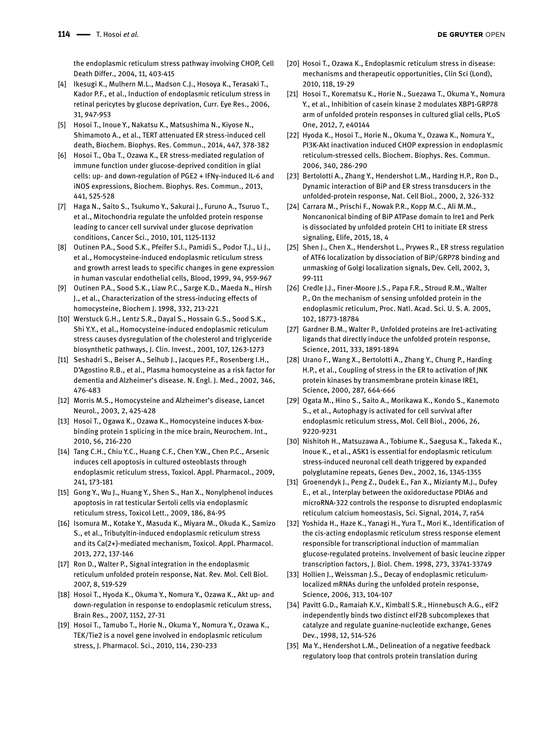the endoplasmic reticulum stress pathway involving CHOP, Cell Death Differ., 2004, 11, 403-415

- [4] Ikesugi K., Mulhern M.L., Madson C.J., Hosoya K., Terasaki T., Kador P.F., et al., Induction of endoplasmic reticulum stress in retinal pericytes by glucose deprivation, Curr. Eye Res., 2006, 31, 947-953
- [5] Hosoi T., Inoue Y., Nakatsu K., Matsushima N., Kiyose N., Shimamoto A., et al., TERT attenuated ER stress-induced cell death, Biochem. Biophys. Res. Commun., 2014, 447, 378-382
- [6] Hosoi T., Oba T., Ozawa K., ER stress-mediated regulation of immune function under glucose-deprived condition in glial cells: up- and down-regulation of PGE2 + IFNγ-induced IL-6 and iNOS expressions, Biochem. Biophys. Res. Commun., 2013, 441, 525-528
- [7] Haga N., Saito S., Tsukumo Y., Sakurai J., Furuno A., Tsuruo T., et al., Mitochondria regulate the unfolded protein response leading to cancer cell survival under glucose deprivation conditions, Cancer Sci., 2010, 101, 1125-1132
- [8] Outinen P.A., Sood S.K., Pfeifer S.I., Pamidi S., Podor T.J., Li J., et al., Homocysteine-induced endoplasmic reticulum stress and growth arrest leads to specific changes in gene expression in human vascular endothelial cells, Blood, 1999, 94, 959-967
- [9] Outinen P.A., Sood S.K., Liaw P.C., Sarge K.D., Maeda N., Hirsh J., et al., Characterization of the stress-inducing effects of homocysteine, Biochem J. 1998, 332, 213-221
- [10] Werstuck G.H., Lentz S.R., Dayal S., Hossain G.S., Sood S.K., Shi Y.Y., et al., Homocysteine-induced endoplasmic reticulum stress causes dysregulation of the cholesterol and triglyceride biosynthetic pathways, J. Clin. Invest., 2001, 107, 1263-1273
- [11] Seshadri S., Beiser A., Selhub J., Jacques P.F., Rosenberg I.H., D'Agostino R.B., et al., Plasma homocysteine as a risk factor for dementia and Alzheimer's disease. N. Engl. J. Med., 2002, 346, 476-483
- [12] Morris M.S., Homocysteine and Alzheimer's disease, Lancet Neurol., 2003, 2, 425-428
- [13] Hosoi T., Ogawa K., Ozawa K., Homocysteine induces X-boxbinding protein 1 splicing in the mice brain, Neurochem. Int., 2010, 56, 216-220
- [14] Tang C.H., Chiu Y.C., Huang C.F., Chen Y.W., Chen P.C., Arsenic induces cell apoptosis in cultured osteoblasts through endoplasmic reticulum stress, Toxicol. Appl. Pharmacol., 2009, 241, 173-181
- [15] Gong Y., Wu J., Huang Y., Shen S., Han X., Nonylphenol induces apoptosis in rat testicular Sertoli cells via endoplasmic reticulum stress, Toxicol Lett., 2009, 186, 84-95
- [16] Isomura M., Kotake Y., Masuda K., Miyara M., Okuda K., Samizo S., et al., Tributyltin-induced endoplasmic reticulum stress and its Ca(2+)-mediated mechanism, Toxicol. Appl. Pharmacol. 2013, 272, 137-146
- [17] Ron D., Walter P., Signal integration in the endoplasmic reticulum unfolded protein response, Nat. Rev. Mol. Cell Biol. 2007, 8, 519-529
- [18] Hosoi T., Hyoda K., Okuma Y., Nomura Y., Ozawa K., Akt up- and down-regulation in response to endoplasmic reticulum stress, Brain Res., 2007, 1152, 27-31
- [19] Hosoi T., Tamubo T., Horie N., Okuma Y., Nomura Y., Ozawa K., TEK/Tie2 is a novel gene involved in endoplasmic reticulum stress, J. Pharmacol. Sci., 2010, 114, 230-233
- [20] Hosoi T., Ozawa K., Endoplasmic reticulum stress in disease: mechanisms and therapeutic opportunities, Clin Sci (Lond), 2010, 118, 19-29
- [21] Hosoi T., Korematsu K., Horie N., Suezawa T., Okuma Y., Nomura Y., et al., Inhibition of casein kinase 2 modulates XBP1-GRP78 arm of unfolded protein responses in cultured glial cells, PLoS One, 2012, 7, e40144
- [22] Hyoda K., Hosoi T., Horie N., Okuma Y., Ozawa K., Nomura Y., PI3K-Akt inactivation induced CHOP expression in endoplasmic reticulum-stressed cells. Biochem. Biophys. Res. Commun. 2006, 340, 286-290
- [23] Bertolotti A., Zhang Y., Hendershot L.M., Harding H.P., Ron D., Dynamic interaction of BiP and ER stress transducers in the unfolded-protein response, Nat. Cell Biol., 2000, 2, 326-332
- [24] Carrara M., Prischi F., Nowak P.R., Kopp M.C., Ali M.M., Noncanonical binding of BiP ATPase domain to Ire1 and Perk is dissociated by unfolded protein CH1 to initiate ER stress signaling, Elife, 2015, 18, 4
- [25] Shen J., Chen X., Hendershot L., Prywes R., ER stress regulation of ATF6 localization by dissociation of BiP/GRP78 binding and unmasking of Golgi localization signals, Dev. Cell, 2002, 3, 99-111
- [26] Credle J.J., Finer-Moore J.S., Papa F.R., Stroud R.M., Walter P., On the mechanism of sensing unfolded protein in the endoplasmic reticulum, Proc. Natl. Acad. Sci. U. S. A. 2005, 102, 18773-18784
- [27] Gardner B.M., Walter P., Unfolded proteins are Ire1-activating ligands that directly induce the unfolded protein response, Science, 2011, 333, 1891-1894
- [28] Urano F., Wang X., Bertolotti A., Zhang Y., Chung P., Harding H.P., et al., Coupling of stress in the ER to activation of JNK protein kinases by transmembrane protein kinase IRE1, Science, 2000, 287, 664-666
- [29] Ogata M., Hino S., Saito A., Morikawa K., Kondo S., Kanemoto S., et al., Autophagy is activated for cell survival after endoplasmic reticulum stress, Mol. Cell Biol., 2006, 26, 9220-9231
- [30] Nishitoh H., Matsuzawa A., Tobiume K., Saegusa K., Takeda K., Inoue K., et al., ASK1 is essential for endoplasmic reticulum stress-induced neuronal cell death triggered by expanded polyglutamine repeats, Genes Dev., 2002, 16, 1345-1355
- [31] Groenendyk J., Peng Z., Dudek E., Fan X., Mizianty M.J., Dufey E., et al., Interplay between the oxidoreductase PDIA6 and microRNA-322 controls the response to disrupted endoplasmic reticulum calcium homeostasis, Sci. Signal, 2014, 7, ra54
- [32] Yoshida H., Haze K., Yanagi H., Yura T., Mori K., Identification of the cis-acting endoplasmic reticulum stress response element responsible for transcriptional induction of mammalian glucose-regulated proteins. Involvement of basic leucine zipper transcription factors, J. Biol. Chem. 1998, 273, 33741-33749
- [33] Hollien J., Weissman J.S., Decay of endoplasmic reticulumlocalized mRNAs during the unfolded protein response, Science, 2006, 313, 104-107
- [34] Pavitt G.D., Ramaiah K.V., Kimball S.R., Hinnebusch A.G., eIF2 independently binds two distinct eIF2B subcomplexes that catalyze and regulate guanine-nucleotide exchange, Genes Dev., 1998, 12, 514-526
- [35] Ma Y., Hendershot L.M., Delineation of a negative feedback regulatory loop that controls protein translation during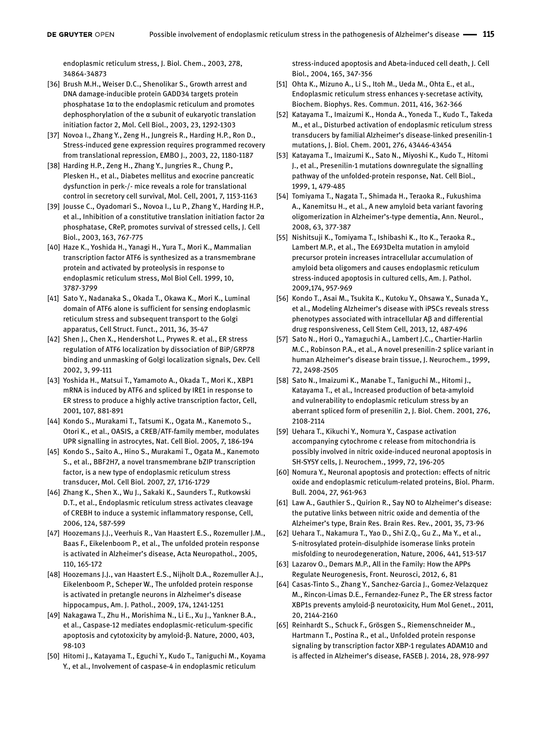endoplasmic reticulum stress, J. Biol. Chem., 2003, 278, 34864-34873

- [36] Brush M.H., Weiser D.C., Shenolikar S., Growth arrest and DNA damage-inducible protein GADD34 targets protein phosphatase 1α to the endoplasmic reticulum and promotes dephosphorylation of the α subunit of eukaryotic translation initiation factor 2, Mol. Cell Biol., 2003, 23, 1292-1303
- [37] Novoa I., Zhang Y., Zeng H., Jungreis R., Harding H.P., Ron D., Stress-induced gene expression requires programmed recovery from translational repression, EMBO J., 2003, 22, 1180-1187
- [38] Harding H.P., Zeng H., Zhang Y., Jungries R., Chung P., Plesken H., et al., Diabetes mellitus and exocrine pancreatic dysfunction in perk-/- mice reveals a role for translational control in secretory cell survival, Mol. Cell, 2001, 7, 1153-1163
- [39] Jousse C., Oyadomari S., Novoa I., Lu P., Zhang Y., Harding H.P., et al., Inhibition of a constitutive translation initiation factor 2α phosphatase, CReP, promotes survival of stressed cells, J. Cell Biol., 2003, 163, 767-775
- [40] Haze K., Yoshida H., Yanagi H., Yura T., Mori K., Mammalian transcription factor ATF6 is synthesized as a transmembrane protein and activated by proteolysis in response to endoplasmic reticulum stress, Mol Biol Cell. 1999, 10, 3787-3799
- [41] Sato Y., Nadanaka S., Okada T., Okawa K., Mori K., Luminal domain of ATF6 alone is sufficient for sensing endoplasmic reticulum stress and subsequent transport to the Golgi apparatus, Cell Struct. Funct., 2011, 36, 35-47
- [42] Shen J., Chen X., Hendershot L., Prywes R. et al., ER stress regulation of ATF6 localization by dissociation of BiP/GRP78 binding and unmasking of Golgi localization signals, Dev. Cell 2002, 3, 99-111
- [43] Yoshida H., Matsui T., Yamamoto A., Okada T., Mori K., XBP1 mRNA is induced by ATF6 and spliced by IRE1 in response to ER stress to produce a highly active transcription factor, Cell, 2001, 107, 881-891
- [44] Kondo S., Murakami T., Tatsumi K., Ogata M., Kanemoto S., Otori K., et al., OASIS, a CREB/ATF-family member, modulates UPR signalling in astrocytes, Nat. Cell Biol. 2005, 7, 186-194
- [45] Kondo S., Saito A., Hino S., Murakami T., Ogata M., Kanemoto S., et al., BBF2H7, a novel transmembrane bZIP transcription factor, is a new type of endoplasmic reticulum stress transducer, Mol. Cell Biol. 2007, 27, 1716-1729
- [46] Zhang K., Shen X., Wu J., Sakaki K., Saunders T., Rutkowski D.T., et al., Endoplasmic reticulum stress activates cleavage of CREBH to induce a systemic inflammatory response, Cell, 2006, 124, 587-599
- [47] Hoozemans J.J., Veerhuis R., Van Haastert E.S., Rozemuller J.M., Baas F., Eikelenboom P., et al., The unfolded protein response is activated in Alzheimer's disease, Acta Neuropathol., 2005, 110, 165-172
- [48] Hoozemans J.J., van Haastert E.S., Nijholt D.A., Rozemuller A.J., Eikelenboom P., Scheper W., The unfolded protein response is activated in pretangle neurons in Alzheimer's disease hippocampus, Am. J. Pathol., 2009, 174, 1241-1251
- [49] Nakagawa T., Zhu H., Morishima N., Li E., Xu J., Yankner B.A., et al., Caspase-12 mediates endoplasmic-reticulum-specific apoptosis and cytotoxicity by amyloid-β. Nature, 2000, 403, 98-103
- [50] Hitomi J., Katayama T., Eguchi Y., Kudo T., Taniguchi M., Koyama Y., et al., Involvement of caspase-4 in endoplasmic reticulum

stress-induced apoptosis and Abeta-induced cell death, J. Cell Biol., 2004, 165, 347-356

- [51] Ohta K., Mizuno A., Li S., Itoh M., Ueda M., Ohta E., et al., Endoplasmic reticulum stress enhances γ-secretase activity, Biochem. Biophys. Res. Commun. 2011, 416, 362-366
- [52] Katayama T., Imaizumi K., Honda A., Yoneda T., Kudo T., Takeda M., et al., Disturbed activation of endoplasmic reticulum stress transducers by familial Alzheimer's disease-linked presenilin-1 mutations, J. Biol. Chem. 2001, 276, 43446-43454
- [53] Katayama T., Imaizumi K., Sato N., Miyoshi K., Kudo T., Hitomi J., et al., Presenilin-1 mutations downregulate the signalling pathway of the unfolded-protein response, Nat. Cell Biol., 1999, 1, 479-485
- [54] Tomiyama T., Nagata T., Shimada H., Teraoka R., Fukushima A., Kanemitsu H., et al., A new amyloid beta variant favoring oligomerization in Alzheimer's-type dementia, Ann. Neurol., 2008, 63, 377-387
- [55] Nishitsuji K., Tomiyama T., Ishibashi K., Ito K., Teraoka R., Lambert M.P., et al., The E693Delta mutation in amyloid precursor protein increases intracellular accumulation of amyloid beta oligomers and causes endoplasmic reticulum stress-induced apoptosis in cultured cells, Am. J. Pathol. 2009,174, 957-969
- [56] Kondo T., Asai M., Tsukita K., Kutoku Y., Ohsawa Y., Sunada Y., et al., Modeling Alzheimer's disease with iPSCs reveals stress phenotypes associated with intracellular Aβ and differential drug responsiveness, Cell Stem Cell, 2013, 12, 487-496
- [57] Sato N., Hori O., Yamaguchi A., Lambert J.C., Chartier-Harlin M.C., Robinson P.A., et al., A novel presenilin-2 splice variant in human Alzheimer's disease brain tissue, J. Neurochem., 1999, 72, 2498-2505
- [58] Sato N., Imaizumi K., Manabe T., Taniguchi M., Hitomi J., Katayama T., et al., Increased production of beta-amyloid and vulnerability to endoplasmic reticulum stress by an aberrant spliced form of presenilin 2, J. Biol. Chem. 2001, 276, 2108-2114
- [59] Uehara T., Kikuchi Y., Nomura Y., Caspase activation accompanying cytochrome c release from mitochondria is possibly involved in nitric oxide-induced neuronal apoptosis in SH-SY5Y cells, J. Neurochem., 1999, 72, 196-205
- [60] Nomura Y., Neuronal apoptosis and protection: effects of nitric oxide and endoplasmic reticulum-related proteins, Biol. Pharm. Bull. 2004, 27, 961-963
- [61] Law A., Gauthier S., Quirion R., Say NO to Alzheimer's disease: the putative links between nitric oxide and dementia of the Alzheimer's type, Brain Res. Brain Res. Rev., 2001, 35, 73-96
- [62] Uehara T., Nakamura T., Yao D., Shi Z.Q., Gu Z., Ma Y., et al., S-nitrosylated protein-disulphide isomerase links protein misfolding to neurodegeneration, Nature, 2006, 441, 513-517
- [63] Lazarov O., Demars M.P., All in the Family: How the APPs Regulate Neurogenesis, Front. Neurosci, 2012, 6, 81
- [64] Casas-Tinto S., Zhang Y., Sanchez-Garcia J., Gomez-Velazquez M., Rincon-Limas D.E., Fernandez-Funez P., The ER stress factor XBP1s prevents amyloid-β neurotoxicity, Hum Mol Genet., 2011, 20, 2144-2160
- [65] Reinhardt S., Schuck F., Grösgen S., Riemenschneider M., Hartmann T., Postina R., et al., Unfolded protein response signaling by transcription factor XBP-1 regulates ADAM10 and is affected in Alzheimer's disease, FASEB J. 2014, 28, 978-997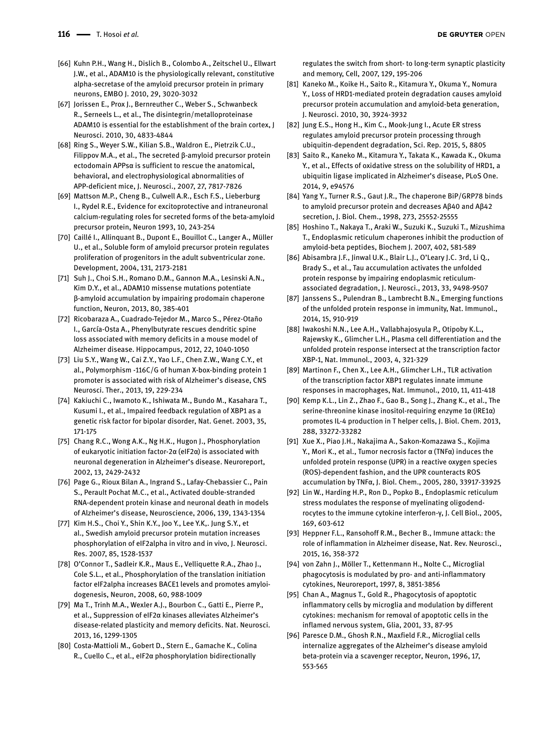- [66] Kuhn P.H., Wang H., Dislich B., Colombo A., Zeitschel U., Ellwart J.W., et al., ADAM10 is the physiologically relevant, constitutive alpha-secretase of the amyloid precursor protein in primary neurons, EMBO J. 2010, 29, 3020-3032
- [67] Jorissen E., Prox J., Bernreuther C., Weber S., Schwanbeck R., Serneels L., et al., The disintegrin/metalloproteinase ADAM10 is essential for the establishment of the brain cortex, J Neurosci. 2010, 30, 4833-4844
- [68] Ring S., Weyer S.W., Kilian S.B., Waldron E., Pietrzik C.U., Filippov M.A., et al., The secreted β-amyloid precursor protein ectodomain APPsα is sufficient to rescue the anatomical, behavioral, and electrophysiological abnormalities of APP-deficient mice, J. Neurosci., 2007, 27, 7817-7826
- [69] Mattson M.P., Cheng B., Culwell A.R., Esch F.S., Lieberburg I., Rydel R.E., Evidence for excitoprotective and intraneuronal calcium-regulating roles for secreted forms of the beta-amyloid precursor protein, Neuron 1993, 10, 243-254
- [70] Caillé I., Allinquant B., Dupont E., Bouillot C., Langer A., Müller U., et al., Soluble form of amyloid precursor protein regulates proliferation of progenitors in the adult subventricular zone. Development, 2004, 131, 2173-2181
- [71] Suh J., Choi S.H., Romano D.M., Gannon M.A., Lesinski A.N., Kim D.Y., et al., ADAM10 missense mutations potentiate β-amyloid accumulation by impairing prodomain chaperone function, Neuron, 2013, 80, 385-401
- [72] Ricobaraza A., Cuadrado-Tejedor M., Marco S., Pérez-Otaño I., García-Osta A., Phenylbutyrate rescues dendritic spine loss associated with memory deficits in a mouse model of Alzheimer disease. Hippocampus, 2012, 22, 1040-1050
- [73] Liu S.Y., Wang W., Cai Z.Y., Yao L.F., Chen Z.W., Wang C.Y., et al., Polymorphism -116C/G of human X-box-binding protein 1 promoter is associated with risk of Alzheimer's disease, CNS Neurosci. Ther., 2013, 19, 229-234
- [74] Kakiuchi C., Iwamoto K., Ishiwata M., Bundo M., Kasahara T., Kusumi I., et al., Impaired feedback regulation of XBP1 as a genetic risk factor for bipolar disorder, Nat. Genet. 2003, 35, 171-175
- [75] Chang R.C., Wong A.K., Ng H.K., Hugon J., Phosphorylation of eukaryotic initiation factor-2α (eIF2α) is associated with neuronal degeneration in Alzheimer's disease. Neuroreport, 2002, 13, 2429-2432
- [76] Page G., Rioux Bilan A., Ingrand S., Lafay-Chebassier C., Pain S., Perault Pochat M.C., et al., Activated double-stranded RNA-dependent protein kinase and neuronal death in models of Alzheimer's disease, Neuroscience, 2006, 139, 1343-1354
- [77] Kim H.S., Choi Y., Shin K.Y., Joo Y., Lee Y.K,. Jung S.Y., et al., Swedish amyloid precursor protein mutation increases phosphorylation of eIF2alpha in vitro and in vivo, J. Neurosci. Res. 2007, 85, 1528-1537
- [78] O'Connor T., Sadleir K.R., Maus E., Velliquette R.A., Zhao J., Cole S.L., et al., Phosphorylation of the translation initiation factor eIF2alpha increases BACE1 levels and promotes amyloidogenesis, Neuron, 2008, 60, 988-1009
- [79] Ma T., Trinh M.A., Wexler A.J., Bourbon C., Gatti E., Pierre P., et al., Suppression of eIF2α kinases alleviates Alzheimer's disease-related plasticity and memory deficits. Nat. Neurosci. 2013, 16, 1299-1305
- [80] Costa-Mattioli M., Gobert D., Stern E., Gamache K., Colina R., Cuello C., et al., eIF2α phosphorylation bidirectionally

regulates the switch from short- to long-term synaptic plasticity and memory, Cell, 2007, 129, 195-206

- [81] Kaneko M., Koike H., Saito R., Kitamura Y., Okuma Y., Nomura Y., Loss of HRD1-mediated protein degradation causes amyloid precursor protein accumulation and amyloid-beta generation, J. Neurosci. 2010, 30, 3924-3932
- [82] Jung E.S., Hong H., Kim C., Mook-Jung I., Acute ER stress regulates amyloid precursor protein processing through ubiquitin-dependent degradation, Sci. Rep. 2015, 5, 8805
- [83] Saito R., Kaneko M., Kitamura Y., Takata K., Kawada K., Okuma Y., et al., Effects of oxidative stress on the solubility of HRD1, a ubiquitin ligase implicated in Alzheimer's disease, PLoS One. 2014, 9, e94576
- [84] Yang Y., Turner R.S., Gaut J.R., The chaperone BiP/GRP78 binds to amyloid precursor protein and decreases Aβ40 and Aβ42 secretion, J. Biol. Chem., 1998, 273, 25552-25555
- [85] Hoshino T., Nakaya T., Araki W., Suzuki K., Suzuki T., Mizushima T., Endoplasmic reticulum chaperones inhibit the production of amyloid-beta peptides, Biochem J. 2007, 402, 581-589
- [86] Abisambra J.F., Jinwal U.K., Blair L.J., O'Leary J.C. 3rd, Li Q., Brady S., et al., Tau accumulation activates the unfolded protein response by impairing endoplasmic reticulumassociated degradation, J. Neurosci., 2013, 33, 9498-9507
- [87] Janssens S., Pulendran B., Lambrecht B.N., Emerging functions of the unfolded protein response in immunity, Nat. Immunol., 2014, 15, 910-919
- [88] Iwakoshi N.N., Lee A.H., Vallabhajosyula P., Otipoby K.L., Rajewsky K., Glimcher L.H., Plasma cell differentiation and the unfolded protein response intersect at the transcription factor XBP-1, Nat. Immunol., 2003, 4, 321-329
- [89] Martinon F., Chen X., Lee A.H., Glimcher L.H., TLR activation of the transcription factor XBP1 regulates innate immune responses in macrophages, Nat. Immunol., 2010, 11, 411-418
- [90] Kemp K.L., Lin Z., Zhao F., Gao B., Song J., Zhang K., et al., The serine-threonine kinase inositol-requiring enzyme 1α (IRE1α) promotes IL-4 production in T helper cells, J. Biol. Chem. 2013, 288, 33272-33282
- [91] Xue X., Piao J.H., Nakajima A., Sakon-Komazawa S., Kojima Y., Mori K., et al., Tumor necrosis factor α (TNFα) induces the unfolded protein response (UPR) in a reactive oxygen species (ROS)-dependent fashion, and the UPR counteracts ROS accumulation by TNFα, J. Biol. Chem., 2005, 280, 33917-33925
- [92] Lin W., Harding H.P., Ron D., Popko B., Endoplasmic reticulum stress modulates the response of myelinating oligodendrocytes to the immune cytokine interferon-γ, J. Cell Biol., 2005, 169, 603-612
- [93] Heppner F.L., Ransohoff R.M., Becher B., Immune attack: the role of inflammation in Alzheimer disease, Nat. Rev. Neurosci., 2015, 16, 358-372
- [94] von Zahn J., Möller T., Kettenmann H., Nolte C., Microglial phagocytosis is modulated by pro- and anti-inflammatory cytokines, Neuroreport, 1997, 8, 3851-3856
- [95] Chan A., Magnus T., Gold R., Phagocytosis of apoptotic inflammatory cells by microglia and modulation by different cytokines: mechanism for removal of apoptotic cells in the inflamed nervous system, Glia, 2001, 33, 87-95
- [96] Paresce D.M., Ghosh R.N., Maxfield F.R., Microglial cells internalize aggregates of the Alzheimer's disease amyloid beta-protein via a scavenger receptor, Neuron, 1996, 17, 553-565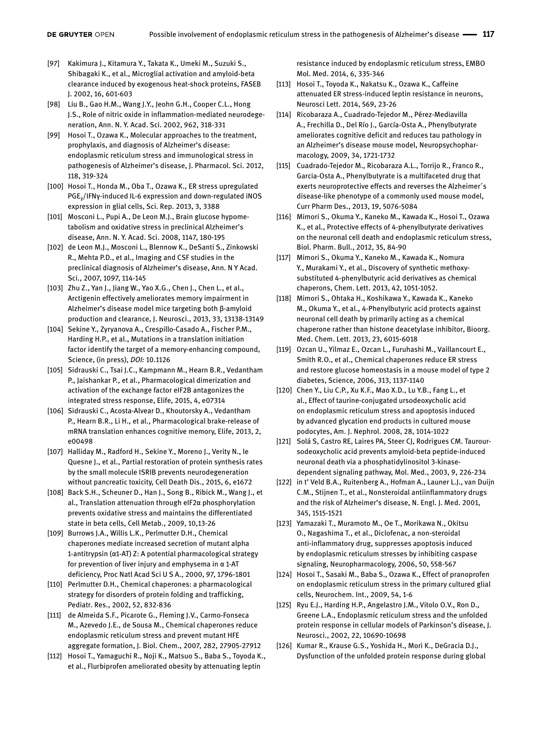- [97] Kakimura J., Kitamura Y., Takata K., Umeki M., Suzuki S., Shibagaki K., et al., Microglial activation and amyloid-beta clearance induced by exogenous heat-shock proteins, FASEB J. 2002, 16, 601-603
- [98] Liu B., Gao H.M., Wang J.Y., Jeohn G.H., Cooper C.L., Hong J.S., Role of nitric oxide in inflammation-mediated neurodegeneration, Ann. N. Y. Acad. Sci. 2002, 962, 318-331
- [99] Hosoi T., Ozawa K., Molecular approaches to the treatment, prophylaxis, and diagnosis of Alzheimer's disease: endoplasmic reticulum stress and immunological stress in pathogenesis of Alzheimer's disease, J. Pharmacol. Sci. 2012, 118, 319-324
- [100] Hosoi T., Honda M., Oba T., Ozawa K., ER stress upregulated PGE₂/IFNγ-induced IL-6 expression and down-regulated iNOS expression in glial cells, Sci. Rep. 2013, 3, 3388
- [101] Mosconi L., Pupi A., De Leon M.J., Brain glucose hypometabolism and oxidative stress in preclinical Alzheimer's disease, Ann. N. Y. Acad. Sci. 2008, 1147, 180-195
- [102] de Leon M.J., Mosconi L., Blennow K., DeSanti S., Zinkowski R., Mehta P.D., et al., Imaging and CSF studies in the preclinical diagnosis of Alzheimer's disease, Ann. N Y Acad. Sci., 2007, 1097, 114-145
- [103] Zhu Z., Yan J., Jiang W., Yao X.G., Chen J., Chen L., et al., Arctigenin effectively ameliorates memory impairment in Alzheimer's disease model mice targeting both β-amyloid production and clearance, J. Neurosci., 2013, 33, 13138-13149
- [104] Sekine Y., Zyryanova A., Crespillo-Casado A., Fischer P.M., Harding H.P., et al., Mutations in a translation initiation factor identify the target of a memory-enhancing compound, Science, (in press), *DOI:* 10.1126
- [105] Sidrauski C., Tsai J.C., Kampmann M., Hearn B.R., Vedantham P., Jaishankar P., et al., Pharmacological dimerization and activation of the exchange factor eIF2B antagonizes the integrated stress response, Elife, 2015, 4, e07314
- [106] Sidrauski C., Acosta-Alvear D., Khoutorsky A., Vedantham P., Hearn B.R., Li H., et al., Pharmacological brake-release of mRNA translation enhances cognitive memory, Elife, 2013, 2, e00498
- [107] Halliday M., Radford H., Sekine Y., Moreno J., Verity N., le Quesne J., et al., Partial restoration of protein synthesis rates by the small molecule ISRIB prevents neurodegeneration without pancreatic toxicity, Cell Death Dis., 2015, 6, e1672
- [108] Back S.H., Scheuner D., Han J., Song B., Ribick M., Wang J., et al., Translation attenuation through eIF2α phosphorylation prevents oxidative stress and maintains the differentiated state in beta cells, Cell Metab., 2009, 10,13-26
- [109] Burrows J.A., Willis L.K., Perlmutter D.H., Chemical chaperones mediate increased secretion of mutant alpha 1-antitrypsin (α1-AT) Z: A potential pharmacological strategy for prevention of liver injury and emphysema in α 1-AT deficiency, Proc Natl Acad Sci U S A., 2000, 97, 1796-1801
- [110] Perlmutter D.H., Chemical chaperones: a pharmacological strategy for disorders of protein folding and trafficking, Pediatr. Res., 2002, 52, 832-836
- [111] de Almeida S.F., Picarote G., Fleming J.V., Carmo-Fonseca M., Azevedo J.E., de Sousa M., Chemical chaperones reduce endoplasmic reticulum stress and prevent mutant HFE aggregate formation, J. Biol. Chem., 2007, 282, 27905-27912
- [112] Hosoi T., Yamaguchi R., Noji K., Matsuo S., Baba S., Toyoda K., et al., Flurbiprofen ameliorated obesity by attenuating leptin

resistance induced by endoplasmic reticulum stress, EMBO Mol. Med. 2014, 6, 335-346

- [113] Hosoi T., Toyoda K., Nakatsu K., Ozawa K., Caffeine attenuated ER stress-induced leptin resistance in neurons, Neurosci Lett. 2014, 569, 23-26
- [114] Ricobaraza A., Cuadrado-Tejedor M., Pérez-Mediavilla A., Frechilla D., Del Río J., García-Osta A., Phenylbutyrate ameliorates cognitive deficit and reduces tau pathology in an Alzheimer's disease mouse model, Neuropsychopharmacology, 2009, 34, 1721-1732
- [115] Cuadrado-Tejedor M., Ricobaraza A.L., Torrijo R., Franco R., Garcia-Osta A., Phenylbutyrate is a multifaceted drug that exerts neuroprotective effects and reverses the Alzheimer´s disease-like phenotype of a commonly used mouse model, Curr Pharm Des., 2013, 19, 5076-5084
- [116] Mimori S., Okuma Y., Kaneko M., Kawada K., Hosoi T., Ozawa K., et al., Protective effects of 4-phenylbutyrate derivatives on the neuronal cell death and endoplasmic reticulum stress, Biol. Pharm. Bull., 2012, 35, 84-90
- [117] Mimori S., Okuma Y., Kaneko M., Kawada K., Nomura Y., Murakami Y., et al., Discovery of synthetic methoxysubstituted 4-phenylbutyric acid derivatives as chemical chaperons, Chem. Lett. 2013, 42, 1051-1052.
- [118] Mimori S., Ohtaka H., Koshikawa Y., Kawada K., Kaneko M., Okuma Y., et al., 4-Phenylbutyric acid protects against neuronal cell death by primarily acting as a chemical chaperone rather than histone deacetylase inhibitor, Bioorg. Med. Chem. Lett. 2013, 23, 6015-6018
- [119] Ozcan U., Yilmaz E., Ozcan L., Furuhashi M., Vaillancourt E., Smith R.O., et al., Chemical chaperones reduce ER stress and restore glucose homeostasis in a mouse model of type 2 diabetes, Science, 2006, 313, 1137-1140
- [120] Chen Y., Liu C.P., Xu K.F., Mao X.D., Lu Y.B., Fang L., et al., Effect of taurine-conjugated ursodeoxycholic acid on endoplasmic reticulum stress and apoptosis induced by advanced glycation end products in cultured mouse podocytes, Am. J. Nephrol. 2008, 28, 1014-1022
- [121] Solá S, Castro RE, Laires PA, Steer CJ, Rodrigues CM. Tauroursodeoxycholic acid prevents amyloid-beta peptide-induced neuronal death via a phosphatidylinositol 3-kinasedependent signaling pathway, Mol. Med., 2003, 9, 226-234
- [122] in t' Veld B.A., Ruitenberg A., Hofman A., Launer L.J., van Duijn C.M., Stijnen T., et al., Nonsteroidal antiinflammatory drugs and the risk of Alzheimer's disease, N. Engl. J. Med. 2001, 345, 1515-1521
- [123] Yamazaki T., Muramoto M., Oe T., Morikawa N., Okitsu O., Nagashima T., et al., Diclofenac, a non-steroidal anti-inflammatory drug, suppresses apoptosis induced by endoplasmic reticulum stresses by inhibiting caspase signaling, Neuropharmacology, 2006, 50, 558-567
- [124] Hosoi T., Sasaki M., Baba S., Ozawa K., Effect of pranoprofen on endoplasmic reticulum stress in the primary cultured glial cells, Neurochem. Int., 2009, 54, 1-6
- [125] Ryu E.J., Harding H.P., Angelastro J.M., Vitolo O.V., Ron D., Greene L.A., Endoplasmic reticulum stress and the unfolded protein response in cellular models of Parkinson's disease, J. Neurosci., 2002, 22, 10690-10698
- [126] Kumar R., Krause G.S., Yoshida H., Mori K., DeGracia D.J., Dysfunction of the unfolded protein response during global